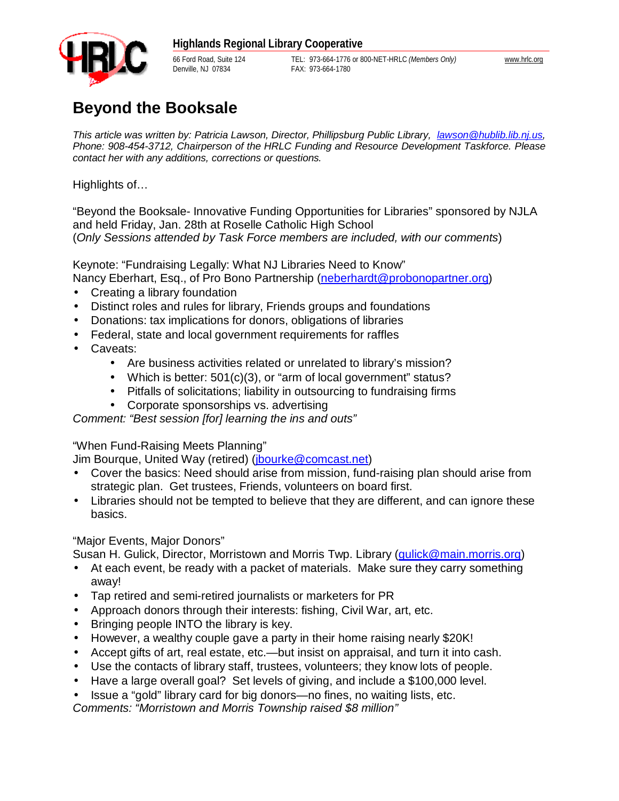Denville, NJ 07834 FAX: 973-664-1780

66 Ford Road, Suite 124 TEL: 973-664-1776 or 800-NET-HRLC *(Members Only)* [www.hrlc.org](http://www.hrlc.org)

## **Beyond the Booksale**

*This article was written by: Patricia Lawson, Director, Phillipsburg Public Library, [lawson@hublib.lib.nj.us,](mailto:lawson@hublib.lib.nj.us) Phone: 908-454-3712, Chairperson of the HRLC Funding and Resource Development Taskforce. Please contact her with any additions, corrections or questions.*

Highlights of…

"Beyond the Booksale- Innovative Funding Opportunities for Libraries" sponsored by NJLA and held Friday, Jan. 28th at Roselle Catholic High School (*Only Sessions attended by Task Force members are included, with our comments*)

Keynote: "Fundraising Legally: What NJ Libraries Need to Know" Nancy Eberhart, Esq., of Pro Bono Partnership ([neberhardt@probonopartner.org](mailto:neberhardt@probonopartner.org))

- Creating a library foundation
- Distinct roles and rules for library, Friends groups and foundations
- Donations: tax implications for donors, obligations of libraries
- Federal, state and local government requirements for raffles
- Caveats:
	- Are business activities related or unrelated to library's mission?
	- Which is better: 501(c)(3), or "arm of local government" status?
	- Pitfalls of solicitations; liability in outsourcing to fundraising firms
	- Corporate sponsorships vs. advertising

*Comment: "Best session [for] learning the ins and outs"* 

"When Fund-Raising Meets Planning"

Jim Bourque, United Way (retired) ([jbourke@comcast.net](mailto:jbourke@comcast.net))

- Cover the basics: Need should arise from mission, fund-raising plan should arise from strategic plan. Get trustees, Friends, volunteers on board first.
- Libraries should not be tempted to believe that they are different, and can ignore these basics.

"Major Events, Major Donors"

Susan H. Gulick, Director, Morristown and Morris Twp. Library (*gulick@main.morris.org*)

- At each event, be ready with a packet of materials. Make sure they carry something away!
- Tap retired and semi-retired journalists or marketers for PR
- Approach donors through their interests: fishing, Civil War, art, etc.
- Bringing people INTO the library is key.
- However, a wealthy couple gave a party in their home raising nearly \$20K!
- Accept gifts of art, real estate, etc.—but insist on appraisal, and turn it into cash.
- Use the contacts of library staff, trustees, volunteers; they know lots of people.
- Have a large overall goal? Set levels of giving, and include a \$100,000 level.
- Issue a "gold" library card for big donors—no fines, no waiting lists, etc.

*Comments: "Morristown and Morris Township raised \$8 million"*